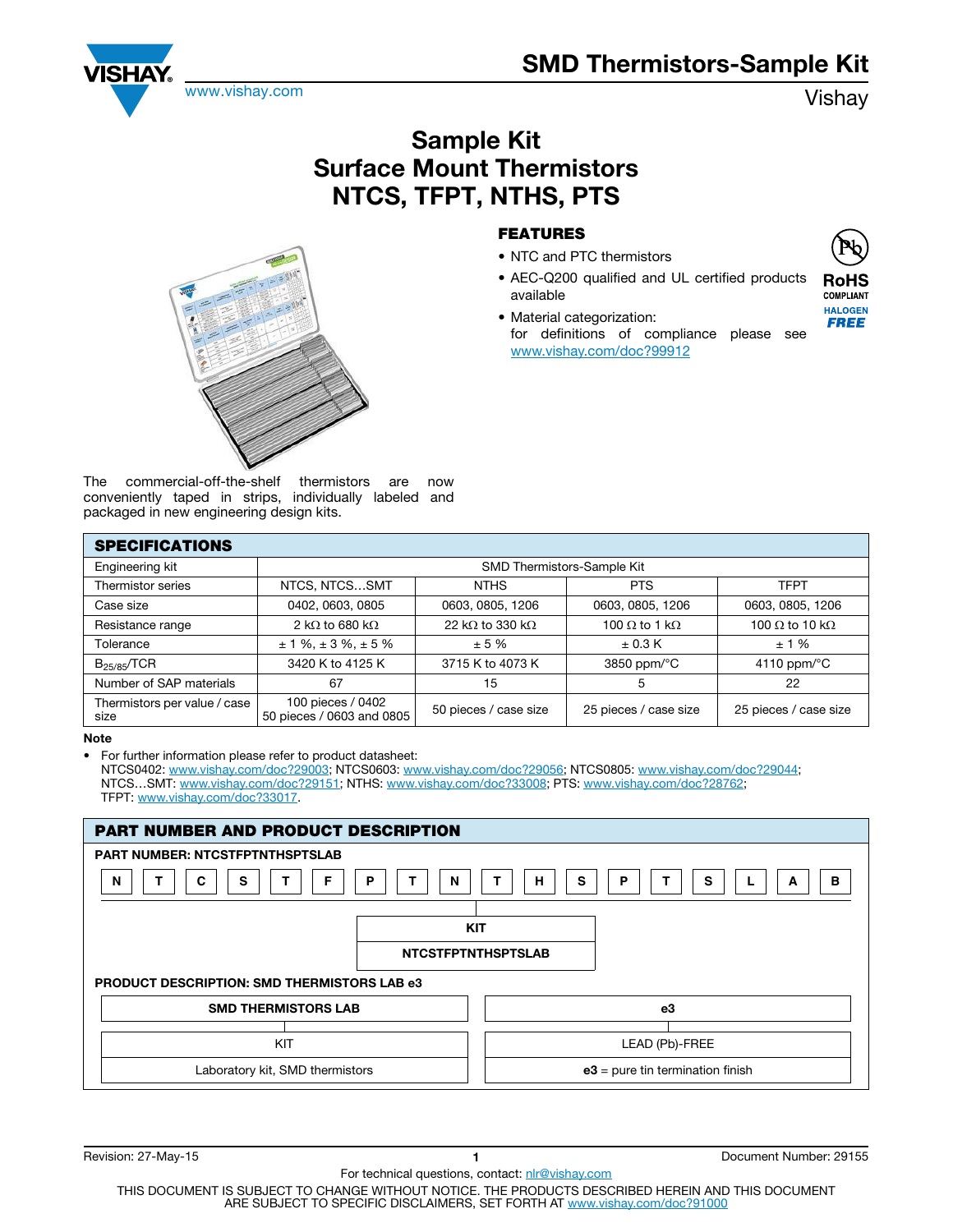## SMD Thermistors-Sample Kit



## Sample Kit Surface Mount Thermistors NTCS, TFPT, NTHS, PTS



## FEATURES

- NTC and PTC thermistors
- AEC-Q200 qualified and UL certified products available
- Material categorization: for definitions of compliance please see www.vishay.com/doc?99912



**HALOGEN FREE** 

The commercial-off-the-shelf thermistors are now conveniently taped in strips, individually labeled and packaged in new engineering design kits.

| <b>SPECIFICATIONS</b>                |                                                |                                 |                                |                               |  |  |
|--------------------------------------|------------------------------------------------|---------------------------------|--------------------------------|-------------------------------|--|--|
| Engineering kit                      | SMD Thermistors-Sample Kit                     |                                 |                                |                               |  |  |
| Thermistor series                    | NTCS, NTCSSMT                                  | <b>NTHS</b>                     | <b>PTS</b>                     | <b>TFPT</b>                   |  |  |
| Case size                            | 0402, 0603, 0805                               | 0603, 0805, 1206                | 0603, 0805, 1206               | 0603, 0805, 1206              |  |  |
| Resistance range                     | 2 k $\Omega$ to 680 k $\Omega$                 | 22 k $\Omega$ to 330 k $\Omega$ | 100 $\Omega$ to 1 k $\Omega$   | 100 $\Omega$ to 10 k $\Omega$ |  |  |
| Tolerance                            | $\pm$ 1 %, $\pm$ 3 %, $\pm$ 5 %                | ± 5%                            | $\pm$ 0.3 K                    | ±1%                           |  |  |
| $B_{25/85}/TCR$                      | 3420 K to 4125 K                               | 3715 K to 4073 K                | 3850 ppm/ $\mathrm{^{\circ}C}$ | 4110 ppm/ $\degree$ C         |  |  |
| Number of SAP materials              | 67                                             | 15                              | 5                              | 22                            |  |  |
| Thermistors per value / case<br>size | 100 pieces / 0402<br>50 pieces / 0603 and 0805 | 50 pieces / case size           | 25 pieces / case size          | 25 pieces / case size         |  |  |

Note

• For further information please refer to product datasheet:

NTCS0402: www.vishay.com/doc?29003; NTCS0603: www.vishay.com/doc?29056; NTCS0805: www.vishay.com/doc?29044; NTCS…SMT: www.vishay.com/doc?29151; NTHS: www.vishay.com/doc?33008; PTS: www.vishay.com/doc?28762; TFPT: www.vishay.com/doc?33017.

| PART NUMBER AND PRODUCT DESCRIPTION                |                                    |  |  |  |  |  |
|----------------------------------------------------|------------------------------------|--|--|--|--|--|
| <b>PART NUMBER: NTCSTFPTNTHSPTSLAB</b>             |                                    |  |  |  |  |  |
| C<br>S<br>N<br>N<br>Р                              | s<br>s<br>в<br>н<br>Ρ<br>A         |  |  |  |  |  |
|                                                    |                                    |  |  |  |  |  |
| <b>KIT</b>                                         |                                    |  |  |  |  |  |
| <b>NTCSTFPTNTHSPTSLAB</b>                          |                                    |  |  |  |  |  |
| <b>PRODUCT DESCRIPTION: SMD THERMISTORS LAB e3</b> |                                    |  |  |  |  |  |
| <b>SMD THERMISTORS LAB</b>                         | e3                                 |  |  |  |  |  |
|                                                    |                                    |  |  |  |  |  |
| KIT                                                | LEAD (Pb)-FREE                     |  |  |  |  |  |
| Laboratory kit, SMD thermistors                    | $e3$ = pure tin termination finish |  |  |  |  |  |

For technical questions, contact: nlr@vishay.com

Revision: 27-May-15 1 Document Number: 29155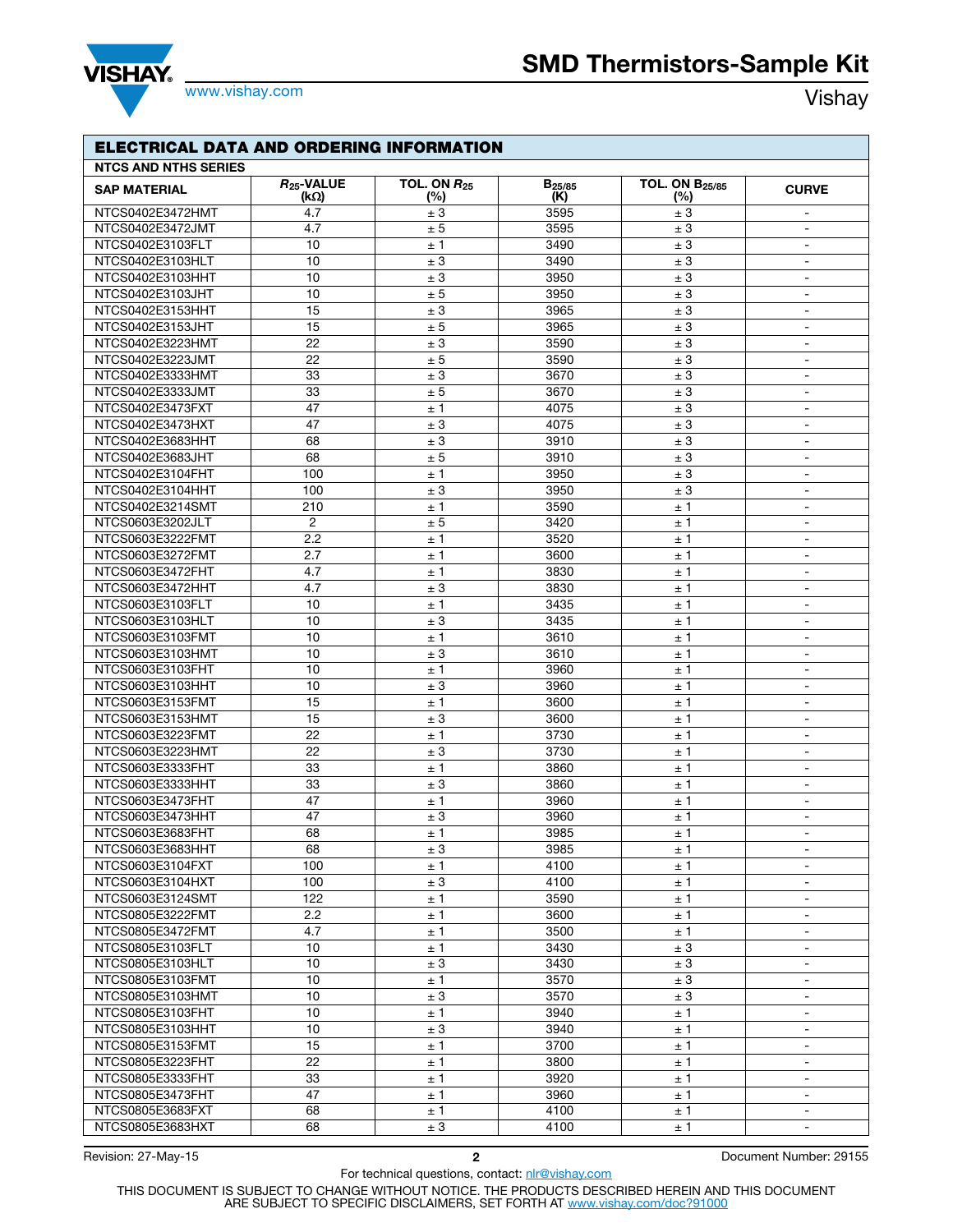



www.vishay.com **Vishay.com** 

| <b>ELECTRICAL DATA AND ORDERING INFORMATION</b> |                         |                         |                                  |                              |                                  |  |  |
|-------------------------------------------------|-------------------------|-------------------------|----------------------------------|------------------------------|----------------------------------|--|--|
| <b>NTCS AND NTHS SERIES</b>                     |                         |                         |                                  |                              |                                  |  |  |
| <b>SAP MATERIAL</b>                             | $R_{25}$ -VALUE<br>(kΩ) | TOL. ON $R_{25}$<br>(%) | <b>B</b> <sub>25/85</sub><br>(K) | <b>TOL. ON B25/85</b><br>(%) | <b>CURVE</b>                     |  |  |
| NTCS0402E3472HMT                                | 4.7                     | ± 3                     | 3595                             | ± 3                          | $\blacksquare$                   |  |  |
| NTCS0402E3472JMT                                | 4.7                     | ± 5                     | 3595                             | ± 3                          | $\overline{\phantom{a}}$         |  |  |
| NTCS0402E3103FLT                                | 10                      | ±1                      | 3490                             | ± 3                          | $\sim$                           |  |  |
| NTCS0402E3103HLT                                | 10                      | ± 3                     | 3490                             | $\pm$ 3                      | $\blacksquare$                   |  |  |
| NTCS0402E3103HHT                                | 10                      | ± 3                     | 3950                             | $\pm$ 3                      | $\blacksquare$                   |  |  |
| NTCS0402E3103JHT                                | 10                      | ± 5                     | 3950                             | ± 3                          | $\blacksquare$                   |  |  |
| NTCS0402E3153HHT                                | 15                      | ± 3                     | 3965                             | ± 3                          | $\blacksquare$                   |  |  |
| NTCS0402E3153JHT                                | 15                      | $\pm$ 5                 | 3965                             | ± 3                          | $\blacksquare$                   |  |  |
| NTCS0402E3223HMT                                | 22                      | ± 3                     | 3590                             | ± 3                          | $\blacksquare$                   |  |  |
| NTCS0402E3223JMT                                | 22                      | ± 5                     | 3590                             | ± 3                          | $\sim$                           |  |  |
| NTCS0402E3333HMT                                | 33                      | ± 3                     | 3670                             | ± 3                          | $\blacksquare$                   |  |  |
| NTCS0402E3333JMT                                | 33                      | $\pm$ 5                 | 3670                             | ± 3                          | $\blacksquare$                   |  |  |
| NTCS0402E3473FXT                                | 47                      | ±1                      | 4075                             | ± 3                          | $\blacksquare$                   |  |  |
| NTCS0402E3473HXT                                | 47                      | ± 3                     | 4075                             | ± 3                          | $\blacksquare$                   |  |  |
| NTCS0402E3683HHT                                | 68                      | ± 3                     | 3910                             | ± 3                          | $\blacksquare$                   |  |  |
| NTCS0402E3683JHT                                | 68                      | $\pm$ 5                 | 3910                             | ± 3                          | $\blacksquare$                   |  |  |
| NTCS0402E3104FHT                                | 100                     | ±1                      | 3950                             | $\pm$ 3                      | $\blacksquare$                   |  |  |
| NTCS0402E3104HHT                                | 100                     | ± 3                     | 3950                             | ± 3                          | $\blacksquare$                   |  |  |
| NTCS0402E3214SMT                                | 210                     | ±1                      | 3590                             | ± 1                          | $\blacksquare$                   |  |  |
| NTCS0603E3202JLT                                | $\overline{2}$          | ± 5                     | 3420                             | ± 1                          | $\blacksquare$                   |  |  |
| NTCS0603E3222FMT                                | 2.2                     | ±1                      | 3520                             | ± 1                          | $\blacksquare$                   |  |  |
| NTCS0603E3272FMT                                | 2.7                     | ±1                      | 3600                             | ±1                           | $\blacksquare$                   |  |  |
| NTCS0603E3472FHT                                | 4.7                     | ±1                      | 3830                             | ± 1                          | $\blacksquare$                   |  |  |
| NTCS0603E3472HHT                                | 4.7                     | ± 3                     | 3830                             | ± 1                          | $\sim$                           |  |  |
| NTCS0603E3103FLT                                | 10                      | ±1                      | 3435                             | ± 1                          | $\blacksquare$                   |  |  |
| NTCS0603E3103HLT                                | 10                      | ± 3                     | 3435                             | ±1                           | $\blacksquare$                   |  |  |
| NTCS0603E3103FMT                                | 10                      | ±1                      | 3610                             | ± 1                          | $\sim$                           |  |  |
| NTCS0603E3103HMT                                | 10                      | ± 3                     | 3610                             | ±1                           | $\blacksquare$                   |  |  |
| NTCS0603E3103FHT<br>NTCS0603E3103HHT            | 10                      | ±1                      | 3960                             | ±1                           | $\blacksquare$<br>$\blacksquare$ |  |  |
| NTCS0603E3153FMT                                | 10<br>15                | ± 3<br>±1               | 3960<br>3600                     | ±1                           | $\blacksquare$                   |  |  |
| NTCS0603E3153HMT                                | 15                      | ± 3                     | 3600                             | ± 1<br>±1                    | $\sim$                           |  |  |
| NTCS0603E3223FMT                                | 22                      | ±1                      | 3730                             | ± 1                          | $\blacksquare$                   |  |  |
| NTCS0603E3223HMT                                | 22                      | ± 3                     | 3730                             | ±1                           | $\blacksquare$                   |  |  |
| NTCS0603E3333FHT                                | 33                      | ±1                      | 3860                             | ±1                           | $\blacksquare$                   |  |  |
| NTCS0603E3333HHT                                | 33                      | ± 3                     | 3860                             | ±1                           | $\blacksquare$                   |  |  |
| NTCS0603E3473FHT                                | 47                      | ±1                      | 3960                             | ± 1                          | $\sim$                           |  |  |
| NTCS0603E3473HHT                                | 47                      | ± 3                     | 3960                             | ±1                           | $\blacksquare$                   |  |  |
| NTCS0603E3683FHT                                | 68                      | ±1                      | 3985                             | ±1                           | $\sim$                           |  |  |
| NTCS0603E3683HHT                                | 68                      | ± 3                     | 3985                             | ± 1                          | $\sim$                           |  |  |
| NTCS0603E3104FXT                                | 100                     | ±1                      | 4100                             | ±1                           | $\sim$                           |  |  |
| NTCS0603E3104HXT                                | 100                     | ± 3                     | 4100                             | ± 1                          | $\blacksquare$                   |  |  |
| NTCS0603E3124SMT                                | 122                     | ±1                      | 3590                             | ±1                           | $\sim$                           |  |  |
| NTCS0805E3222FMT                                | 2.2                     | ±1                      | 3600                             | ±1                           | $\sim$                           |  |  |
| NTCS0805E3472FMT                                | 4.7                     | ±1                      | 3500                             | ±1                           | $\sim$                           |  |  |
| NTCS0805E3103FLT                                | 10                      | ± 1                     | 3430                             | ± 3                          | $\blacksquare$                   |  |  |
| NTCS0805E3103HLT                                | 10                      | ± 3                     | 3430                             | ± 3                          | $\blacksquare$                   |  |  |
| NTCS0805E3103FMT                                | 10                      | ± 1                     | 3570                             | $\pm$ 3                      | $\overline{\phantom{a}}$         |  |  |
| NTCS0805E3103HMT                                | 10                      | ± 3                     | 3570                             | ± 3                          | $\sim$                           |  |  |
| NTCS0805E3103FHT                                | 10                      | ± 1                     | 3940                             | ±1                           | $\sim$                           |  |  |
| NTCS0805E3103HHT                                | 10                      | ± 3                     | 3940                             | ±1                           | $\sim$                           |  |  |
| NTCS0805E3153FMT                                | 15                      | ±1                      | 3700                             | ± 1                          | $\sim$                           |  |  |
| NTCS0805E3223FHT                                | 22                      | ±1                      | 3800                             | ±1                           | $\sim$                           |  |  |
| NTCS0805E3333FHT                                | 33                      | ± 1                     | 3920                             | ±1                           | $\sim$                           |  |  |
| NTCS0805E3473FHT                                | 47                      | ±1                      | 3960                             | ±1                           | $\sim$                           |  |  |
| NTCS0805E3683FXT<br>NTCS0805E3683HXT            | 68                      | ±1                      | 4100                             | ± 1                          | $\blacksquare$                   |  |  |
|                                                 | 68                      | ± 3                     | 4100                             | ± 1                          | $\sim$                           |  |  |

For technical questions, contact: nlr@vishay.com

Revision: 27-May-15 2 Document Number: 29155

THIS DOCUMENT IS SUBJECT TO CHANGE WITHOUT NOTICE. THE PRODUCTS DESCRIBED HEREIN AND THIS DOCUMENT<br>ARE SUBJECT TO SPECIFIC DISCLAIMERS, SET FORTH AT <u>www.vishay.com/doc?91000</u>